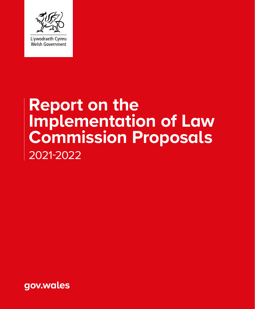

### **Report on the Implementation of Law Commission Proposals** 2021-2022

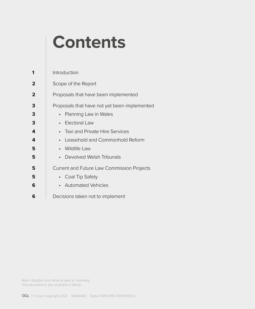### **Contents**

|   | Introduction                                      |
|---|---------------------------------------------------|
| 2 | Scope of the Report                               |
| 2 | Proposals that have been implemented              |
| 3 | Proposals that have not yet been implemented      |
| 3 | • Planning Law in Wales                           |
| 3 | Electoral Law                                     |
| 4 | • Taxi and Private Hire Services                  |
| 4 | Leasehold and Commonhold Reform                   |
| 5 | • Wildlife Law                                    |
| 5 | Devolved Welsh Tribunals                          |
| 5 | <b>Current and Future Law Commission Projects</b> |
| 5 | • Coal Tip Safety                                 |
| 6 | • Automated Vehicles                              |
| 6 | Decisions taken not to implement                  |

Mae'r ddogfen yma hefyd ar gael yn Gymraeg. This document is also available in Welsh.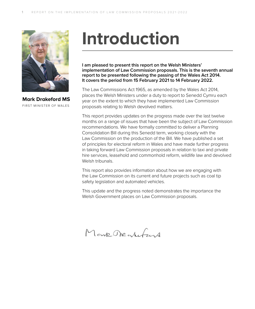

**Mark Drakeford MS** FIRST MINISTER OF WALES

### **Introduction**

**I am pleased to present this report on the Welsh Ministers' implementation of Law Commission proposals. This is the seventh annual report to be presented following the passing of the Wales Act 2014. It covers the period from 15 February 2021 to 14 February 2022.** 

The Law Commissions Act 1965, as amended by the Wales Act 2014, places the Welsh Ministers under a duty to report to Senedd Cymru each year on the extent to which they have implemented Law Commission proposals relating to Welsh devolved matters.

This report provides updates on the progress made over the last twelve months on a range of issues that have been the subject of Law Commission recommendations. We have formally committed to deliver a Planning Consolidation Bill during this Senedd term, working closely with the Law Commission on the production of the Bill. We have published a set of principles for electoral reform in Wales and have made further progress in taking forward Law Commission proposals in relation to taxi and private hire services, leasehold and commonhold reform, wildlife law and devolved Welsh tribunals.

This report also provides information about how we are engaging with the Law Commission on its current and future projects such as coal tip safety legislation and automated vehicles.

This update and the progress noted demonstrates the importance the Welsh Government places on Law Commission proposals.

Monk Obentutant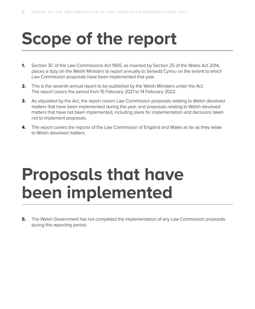# **Scope of the report**

- **1.** Section 3C of the Law Commissions Act 1965, as inserted by Section 25 of the Wales Act 2014, places a duty on the Welsh Ministers to report annually to Senedd Cymru on the extent to which Law Commission proposals have been implemented that year.
- **2.** This is the seventh annual report to be published by the Welsh Ministers under the Act. The report covers the period from 15 February 2021 to 14 February 2022.
- **3.** As stipulated by the Act, the report covers Law Commission proposals relating to Welsh devolved matters that have been implemented during the year, and proposals relating to Welsh devolved matters that have not been implemented, including plans for implementation and decisions taken not to implement proposals.
- **4.** The report covers the reports of the Law Commission of England and Wales as far as they relate to Welsh devolved matters.

### **Proposals that have been implemented**

**5.** The Welsh Government has not completed the implementation of any Law Commission proposals during this reporting period.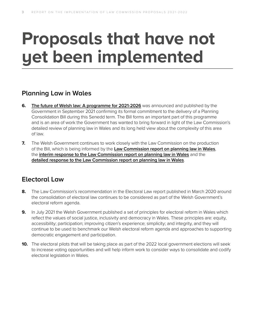## **Proposals that have not yet been implemented**

#### **Planning Law in Wales**

- **6. [The future of Welsh law: A programme for 2021-2026](https://gov.wales/the-future-of-welsh-law-accessibility-programme-2021-to-2026-html)** was announced and published by the Government in September 2021 confirming its formal commitment to the delivery of a Planning Consolidation Bill during this Senedd term. The Bill forms an important part of this programme and is an area of work the Government has wanted to bring forward in light of the Law Commission's detailed review of planning law in Wales and its long held view about the complexity of this area of law.
- **7.** The Welsh Government continues to work closely with the Law Commission on the production of the Bill, which is being informed by the **[Law Commission report on planning law in Wales](https://www.lawcom.gov.uk/project/planning-law-in-wales/)**, the **[interim response to the Law Commission report on planning law in Wales](https://gov.wales/interim-response-law-commission-report-planning-law-wales)** and the **[detailed response to the Law Commission report on planning law in Wales](https://gov.wales/detailed-response-law-commission-report-planning-law-wales)**.

#### **Electoral Law**

- **8.** The Law Commission's recommendation in the Electoral Law report published in March 2020 around the consolidation of electoral law continues to be considered as part of the Welsh Government's electoral reform agenda.
- **9.** In July 2021 the Welsh Government published a set of principles for electoral reform in Wales which reflect the values of social justice, inclusivity and democracy in Wales. These principles are: equity, accessibility; participation; improving citizen's experience; simplicity; and integrity, and they will continue to be used to benchmark our Welsh electoral reform agenda and approaches to supporting democratic engagement and participation.
- **10.** The electoral pilots that will be taking place as part of the 2022 local government elections will seek to increase voting opportunities and will help inform work to consider ways to consolidate and codify electoral legislation in Wales.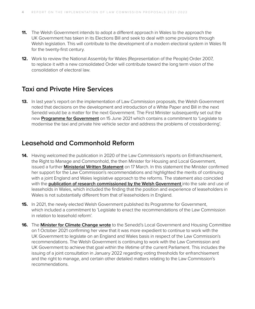- **11.** The Welsh Government intends to adopt a different approach in Wales to the approach the UK Government has taken in its Elections Bill and seek to deal with some provisions through Welsh legislation. This will contribute to the development of a modern electoral system in Wales fit for the twenty-first century.
- **12.** Work to review the National Assembly for Wales (Representation of the People) Order 2007, to replace it with a new consolidated Order will contribute toward the long term vision of the consolidation of electoral law.

#### **Taxi and Private Hire Services**

**13.** In last year's report on the implementation of Law Commission proposals, the Welsh Government noted that decisions on the development and introduction of a White Paper and Bill in the next Senedd would be a matter for the next Government. The First Minister subsequently set out the new **[Programme for Government](https://gov.wales/programme-for-government-update)** on 15 June 2021 which contains a commitment to 'Legislate to modernise the taxi and private hire vehicle sector and address the problems of crossbordering'.

#### **Leasehold and Commonhold Reform**

- **14.** Having welcomed the publication in 2020 of the Law Commission's reports on Enfranchisement, the Right to Manage and Commonhold, the then Minister for Housing and Local Government, issued a further **[Ministerial Written Statement](https://gov.wales/written-statement-next-steps-leasehold-reform)** on 17 March. In this statement the Minister confirmed her support for the Law Commission's recommendations and highlighted the merits of continuing with a joint England and Wales legislative approach to the reforms. The statement also coincided with the **[publication](https://gov.wales/research-sale-and-use-leaseholds-wales) of research commissioned by the Welsh Government** into the sale and use of leaseholds in Wales, which included the finding that the position and experience of leaseholders in Wales is not substantially different from that of leaseholders in England.
- **15.** In 2021, the newly elected Welsh Government published its Programme for Government, which included a commitment to 'Legislate to enact the recommendations of the Law Commission in relation to leasehold reform'.
- **16.** The **Minister for Climate Change [wrote](https://business.senedd.wales/documents/s118577/Letter%20from%20the%20Minister%20for%20Climate%20Change%20to%20the%20Chair%20of%20the%20Local%20Government%20and%20Housing%20Committ.pdf)** to the Senedd's Local Government and Housing Committee on 1 October 2021 confirming her view that it was more expedient to continue to work with the UK Government to legislate on an England and Wales basis in respect of the Law Commission's recommendations. The Welsh Government is continuing to work with the Law Commission and UK Government to achieve that goal within the lifetime of the current Parliament. This includes the issuing of a joint consultation in January 2022 regarding voting thresholds for enfranchisement and the right to manage, and certain other detailed matters relating to the Law Commission's recommendations.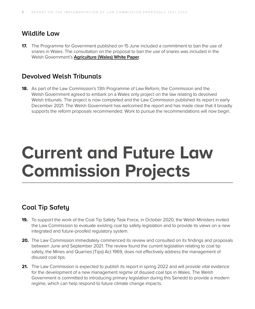#### **Wildlife Law**

**17.** The Programme for Government published on 15 June included a commitment to ban the use of snares in Wales. The consultation on the proposal to ban the use of snares was included in the Welsh Government's **[Agriculture \(Wales\) White Paper](https://gov.wales/sites/default/files/consultations/2020-12/agriculture-wales-bill-white-paper.pdf)**.

#### **Devolved Welsh Tribunals**

**18.** As part of the Law Commission's 13th Programme of Law Reform, the Commission and the Welsh Government agreed to embark on a Wales only project on the law relating to devolved Welsh tribunals. The project is now completed and the Law Commission published its report in early December 2021. The Welsh Government has welcomed the report and has made clear that it broadly supports the reform proposals recommended. Work to pursue the recommendations will now begin.

### **Current and Future Law Commission Projects**

#### **Coal Tip Safety**

- **19.** To support the work of the Coal Tip Safety Task Force, in October 2020, the Welsh Ministers invited the Law Commission to evaluate existing coal tip safety legislation and to provide its views on a new integrated and future-proofed regulatory system.
- **20.** The Law Commission immediately commenced its review and consulted on its findings and proposals between June and September 2021. The review found the current legislation relating to coal tip safety, the Mines and Quarries (Tips) Act 1969, does not effectively address the management of disused coal tips.
- **21.** The Law Commission is expected to publish its report in spring 2022 and will provide vital evidence for the development of a new management regime of disused coal tips in Wales. The Welsh Government is committed to introducing primary legislation during this Senedd to provide a modern regime, which can help respond to future climate change impacts.